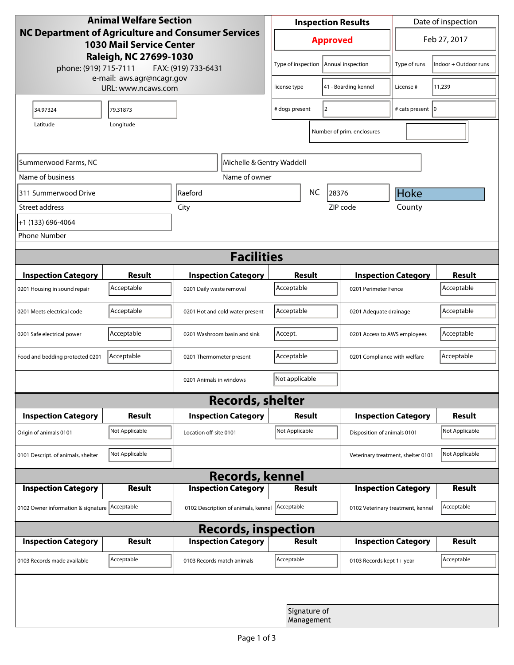| <b>Animal Welfare Section</b><br>NC Department of Agriculture and Consumer Services<br><b>1030 Mail Service Center</b><br>Raleigh, NC 27699-1030<br>phone: (919) 715-7111<br>FAX: (919) 733-6431<br>e-mail: aws.agr@ncagr.gov |                    |                                     | <b>Inspection Results</b>                  |                            |                                        | Date of inspection         |                       |  |
|-------------------------------------------------------------------------------------------------------------------------------------------------------------------------------------------------------------------------------|--------------------|-------------------------------------|--------------------------------------------|----------------------------|----------------------------------------|----------------------------|-----------------------|--|
|                                                                                                                                                                                                                               |                    |                                     | <b>Approved</b>                            |                            |                                        | Feb 27, 2017               |                       |  |
|                                                                                                                                                                                                                               |                    |                                     |                                            |                            | Type of inspection   Annual inspection | Type of runs               | Indoor + Outdoor runs |  |
|                                                                                                                                                                                                                               | URL: www.ncaws.com | license type                        |                                            | 41 - Boarding kennel       | License #                              | 11,239                     |                       |  |
| 34.97324                                                                                                                                                                                                                      | 79.31873           |                                     | # dogs present                             | 2                          |                                        | # cats present   0         |                       |  |
| Latitude                                                                                                                                                                                                                      |                    |                                     |                                            | Number of prim. enclosures |                                        |                            |                       |  |
| Summerwood Farms, NC                                                                                                                                                                                                          |                    | Michelle & Gentry Waddell           |                                            |                            |                                        |                            |                       |  |
| Name of business<br>Name of owner                                                                                                                                                                                             |                    |                                     |                                            |                            |                                        |                            |                       |  |
| 311 Summerwood Drive                                                                                                                                                                                                          |                    | <b>NC</b><br>Raeford                |                                            |                            | 28376                                  | Hoke                       |                       |  |
| Street address                                                                                                                                                                                                                |                    | City                                |                                            |                            | ZIP code                               | County                     |                       |  |
| +1 (133) 696-4064                                                                                                                                                                                                             |                    |                                     |                                            |                            |                                        |                            |                       |  |
| <b>Phone Number</b>                                                                                                                                                                                                           |                    |                                     |                                            |                            |                                        |                            |                       |  |
| <b>Facilities</b>                                                                                                                                                                                                             |                    |                                     |                                            |                            |                                        |                            |                       |  |
| <b>Inspection Category</b>                                                                                                                                                                                                    | <b>Result</b>      | <b>Inspection Category</b>          |                                            | Result                     | <b>Inspection Category</b>             |                            | <b>Result</b>         |  |
| 0201 Housing in sound repair                                                                                                                                                                                                  | Acceptable         | 0201 Daily waste removal            | Acceptable<br>0201 Perimeter Fence         |                            |                                        | Acceptable                 |                       |  |
| 0201 Meets electrical code                                                                                                                                                                                                    | Acceptable         | 0201 Hot and cold water present     | Acceptable<br>0201 Adequate drainage       |                            |                                        | Acceptable                 |                       |  |
| 0201 Safe electrical power                                                                                                                                                                                                    | Acceptable         | 0201 Washroom basin and sink        | Accept.<br>0201 Access to AWS employees    |                            |                                        | Acceptable                 |                       |  |
| Food and bedding protected 0201                                                                                                                                                                                               | Acceptable         | 0201 Thermometer present            | Acceptable<br>0201 Compliance with welfare |                            |                                        | Acceptable                 |                       |  |
| Not applicable<br>0201 Animals in windows                                                                                                                                                                                     |                    |                                     |                                            |                            |                                        |                            |                       |  |
| <b>Records, shelter</b>                                                                                                                                                                                                       |                    |                                     |                                            |                            |                                        |                            |                       |  |
| <b>Inspection Category</b>                                                                                                                                                                                                    | <b>Result</b>      | <b>Inspection Category</b>          | <b>Result</b>                              |                            |                                        | <b>Inspection Category</b> | <b>Result</b>         |  |
| Origin of animals 0101                                                                                                                                                                                                        | Not Applicable     | Location off-site 0101              | Not Applicable                             |                            | Disposition of animals 0101            |                            | Not Applicable        |  |
| 0101 Descript. of animals, shelter                                                                                                                                                                                            | Not Applicable     |                                     |                                            |                            | Veterinary treatment, shelter 0101     |                            | Not Applicable        |  |
| <b>Records, kennel</b>                                                                                                                                                                                                        |                    |                                     |                                            |                            |                                        |                            |                       |  |
| <b>Inspection Category</b>                                                                                                                                                                                                    | Result             | <b>Inspection Category</b>          |                                            | <b>Result</b>              |                                        | <b>Inspection Category</b> | <b>Result</b>         |  |
| 0102 Owner information & signature Acceptable                                                                                                                                                                                 |                    | 0102 Description of animals, kennel | Acceptable                                 |                            | 0102 Veterinary treatment, kennel      |                            | Acceptable            |  |
| <b>Records, inspection</b>                                                                                                                                                                                                    |                    |                                     |                                            |                            |                                        |                            |                       |  |
| <b>Inspection Category</b>                                                                                                                                                                                                    | <b>Result</b>      | <b>Inspection Category</b>          | <b>Result</b>                              |                            |                                        | <b>Inspection Category</b> | <b>Result</b>         |  |
| 0103 Records made available                                                                                                                                                                                                   | Acceptable         | 0103 Records match animals          | Acceptable                                 |                            | 0103 Records kept 1+ year              |                            | Acceptable            |  |
|                                                                                                                                                                                                                               |                    |                                     |                                            |                            |                                        |                            |                       |  |
| Signature of<br>Management                                                                                                                                                                                                    |                    |                                     |                                            |                            |                                        |                            |                       |  |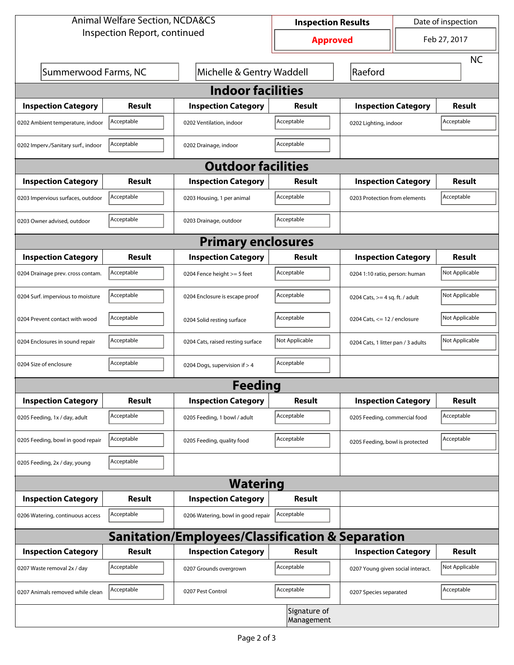| <b>Animal Welfare Section, NCDA&amp;CS</b>                  |               |                                    | Date of inspection<br><b>Inspection Results</b> |                                     |  |                |  |  |
|-------------------------------------------------------------|---------------|------------------------------------|-------------------------------------------------|-------------------------------------|--|----------------|--|--|
| Inspection Report, continued                                |               |                                    | <b>Approved</b>                                 |                                     |  | Feb 27, 2017   |  |  |
|                                                             |               |                                    |                                                 |                                     |  | <b>NC</b>      |  |  |
| Summerwood Farms, NC                                        |               |                                    | Michelle & Gentry Waddell                       |                                     |  | Raeford        |  |  |
| <b>Indoor facilities</b>                                    |               |                                    |                                                 |                                     |  |                |  |  |
| <b>Inspection Category</b>                                  | <b>Result</b> | <b>Inspection Category</b>         | Result                                          | <b>Inspection Category</b>          |  | <b>Result</b>  |  |  |
| 0202 Ambient temperature, indoor                            | Acceptable    | 0202 Ventilation, indoor           | Acceptable                                      | Acceptable<br>0202 Lighting, indoor |  |                |  |  |
| 0202 Imperv./Sanitary surf., indoor                         | Acceptable    | 0202 Drainage, indoor              | Acceptable                                      |                                     |  |                |  |  |
| <b>Outdoor facilities</b>                                   |               |                                    |                                                 |                                     |  |                |  |  |
| <b>Inspection Category</b>                                  | <b>Result</b> | <b>Inspection Category</b>         | Result                                          | <b>Inspection Category</b>          |  | <b>Result</b>  |  |  |
| 0203 Impervious surfaces, outdoor                           | Acceptable    | 0203 Housing, 1 per animal         | Acceptable                                      | 0203 Protection from elements       |  | Acceptable     |  |  |
| 0203 Owner advised, outdoor                                 | Acceptable    | 0203 Drainage, outdoor             | Acceptable                                      |                                     |  |                |  |  |
| <b>Primary enclosures</b>                                   |               |                                    |                                                 |                                     |  |                |  |  |
| <b>Inspection Category</b>                                  | <b>Result</b> | <b>Inspection Category</b>         | Result                                          | <b>Inspection Category</b>          |  | <b>Result</b>  |  |  |
| 0204 Drainage prev. cross contam.                           | Acceptable    | 0204 Fence height >= 5 feet        | Acceptable                                      | 0204 1:10 ratio, person: human      |  | Not Applicable |  |  |
| 0204 Surf. impervious to moisture                           | Acceptable    | 0204 Enclosure is escape proof     | Acceptable                                      | 0204 Cats, $>=$ 4 sq. ft. / adult   |  | Not Applicable |  |  |
| 0204 Prevent contact with wood                              | Acceptable    | 0204 Solid resting surface         | Acceptable                                      | 0204 Cats, $<= 12$ / enclosure      |  | Not Applicable |  |  |
| 0204 Enclosures in sound repair                             | Acceptable    | 0204 Cats, raised resting surface  | Not Applicable                                  | 0204 Cats, 1 litter pan / 3 adults  |  | Not Applicable |  |  |
| 0204 Size of enclosure                                      | Acceptable    | 0204 Dogs, supervision if > 4      | Acceptable                                      |                                     |  |                |  |  |
| Feeding                                                     |               |                                    |                                                 |                                     |  |                |  |  |
| <b>Inspection Category</b>                                  | <b>Result</b> | <b>Inspection Category</b>         | <b>Result</b>                                   | <b>Inspection Category</b>          |  | <b>Result</b>  |  |  |
| 0205 Feeding, 1x / day, adult                               | Acceptable    | 0205 Feeding, 1 bowl / adult       | Acceptable                                      | 0205 Feeding, commercial food       |  | Acceptable     |  |  |
| 0205 Feeding, bowl in good repair                           | Acceptable    | 0205 Feeding, quality food         | Acceptable                                      | 0205 Feeding, bowl is protected     |  | Acceptable     |  |  |
| 0205 Feeding, 2x / day, young                               | Acceptable    |                                    |                                                 |                                     |  |                |  |  |
| <b>Watering</b>                                             |               |                                    |                                                 |                                     |  |                |  |  |
| <b>Inspection Category</b>                                  | Result        | <b>Inspection Category</b>         | <b>Result</b>                                   |                                     |  |                |  |  |
| 0206 Watering, continuous access                            | Acceptable    | 0206 Watering, bowl in good repair | Acceptable                                      |                                     |  |                |  |  |
| <b>Sanitation/Employees/Classification &amp; Separation</b> |               |                                    |                                                 |                                     |  |                |  |  |
| <b>Inspection Category</b>                                  | <b>Result</b> | <b>Inspection Category</b>         | <b>Result</b>                                   | <b>Inspection Category</b>          |  | <b>Result</b>  |  |  |
| 0207 Waste removal 2x / day                                 | Acceptable    | 0207 Grounds overgrown             | Acceptable                                      | 0207 Young given social interact.   |  | Not Applicable |  |  |
| 0207 Animals removed while clean                            | Acceptable    | 0207 Pest Control                  | Acceptable                                      | 0207 Species separated              |  | Acceptable     |  |  |
| Signature of<br>Management                                  |               |                                    |                                                 |                                     |  |                |  |  |